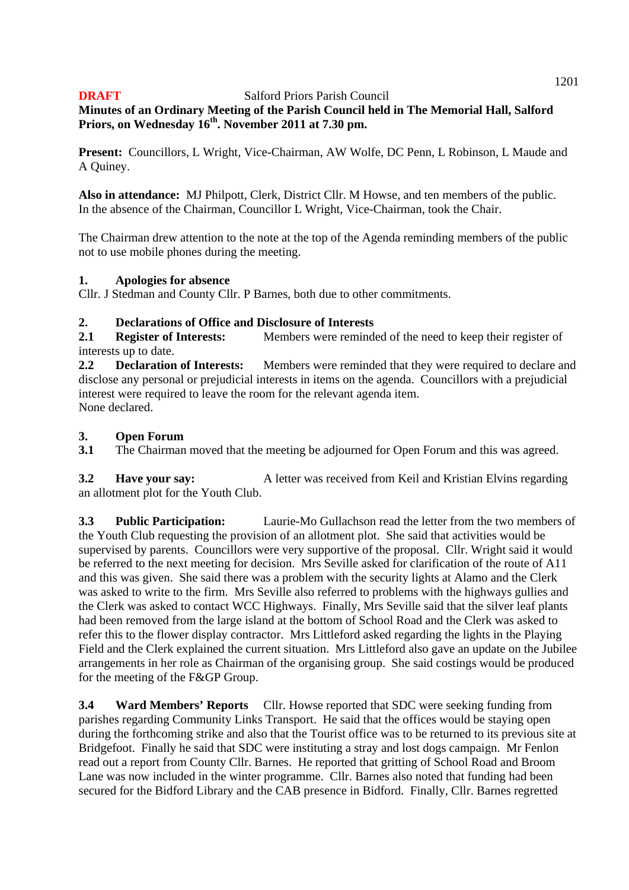**Minutes of an Ordinary Meeting of the Parish Council held in The Memorial Hall, Salford Priors, on Wednesday 16th. November 2011 at 7.30 pm.** 

**Present:** Councillors, L Wright, Vice-Chairman, AW Wolfe, DC Penn, L Robinson, L Maude and A Quiney.

**Also in attendance:** MJ Philpott, Clerk, District Cllr. M Howse, and ten members of the public. In the absence of the Chairman, Councillor L Wright, Vice-Chairman, took the Chair.

The Chairman drew attention to the note at the top of the Agenda reminding members of the public not to use mobile phones during the meeting.

## **1. Apologies for absence**

Cllr. J Stedman and County Cllr. P Barnes, both due to other commitments.

## **2. Declarations of Office and Disclosure of Interests**

**2.1** Register of Interests: Members were reminded of the need to keep their register of interests up to date.

**2.2 Declaration of Interests:** Members were reminded that they were required to declare and disclose any personal or prejudicial interests in items on the agenda. Councillors with a prejudicial interest were required to leave the room for the relevant agenda item. None declared.

## **3. Open Forum**

**3.1** The Chairman moved that the meeting be adjourned for Open Forum and this was agreed.

**3.2 Have your say:** A letter was received from Keil and Kristian Elvins regarding an allotment plot for the Youth Club.

**3.3 Public Participation:** Laurie-Mo Gullachson read the letter from the two members of the Youth Club requesting the provision of an allotment plot. She said that activities would be supervised by parents. Councillors were very supportive of the proposal. Cllr. Wright said it would be referred to the next meeting for decision. Mrs Seville asked for clarification of the route of A11 and this was given. She said there was a problem with the security lights at Alamo and the Clerk was asked to write to the firm. Mrs Seville also referred to problems with the highways gullies and the Clerk was asked to contact WCC Highways. Finally, Mrs Seville said that the silver leaf plants had been removed from the large island at the bottom of School Road and the Clerk was asked to refer this to the flower display contractor. Mrs Littleford asked regarding the lights in the Playing Field and the Clerk explained the current situation. Mrs Littleford also gave an update on the Jubilee arrangements in her role as Chairman of the organising group. She said costings would be produced for the meeting of the F&GP Group.

**3.4 Ward Members' Reports** Cllr. Howse reported that SDC were seeking funding from parishes regarding Community Links Transport. He said that the offices would be staying open during the forthcoming strike and also that the Tourist office was to be returned to its previous site at Bridgefoot. Finally he said that SDC were instituting a stray and lost dogs campaign. Mr Fenlon read out a report from County Cllr. Barnes. He reported that gritting of School Road and Broom Lane was now included in the winter programme. Cllr. Barnes also noted that funding had been secured for the Bidford Library and the CAB presence in Bidford. Finally, Cllr. Barnes regretted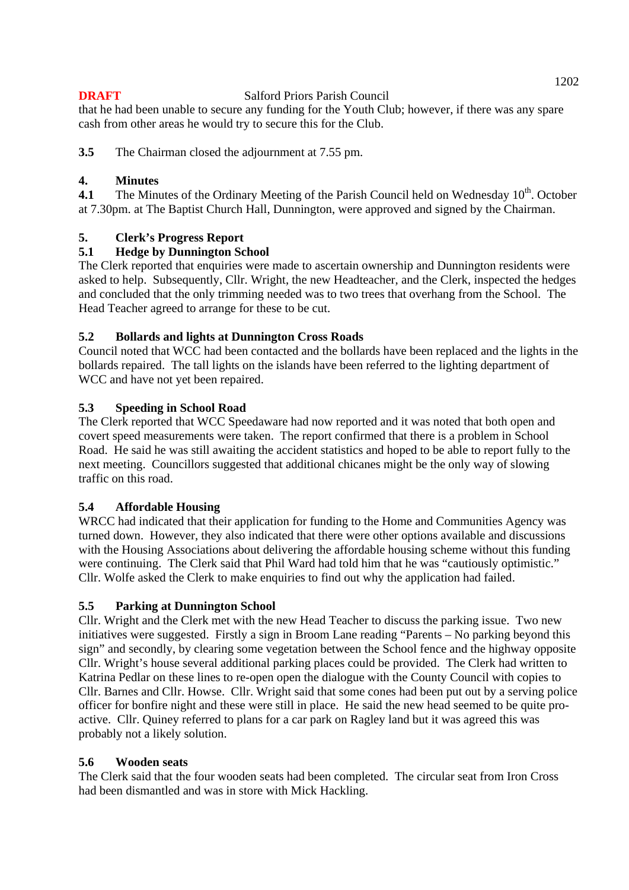that he had been unable to secure any funding for the Youth Club; however, if there was any spare cash from other areas he would try to secure this for the Club.

**3.5** The Chairman closed the adjournment at 7.55 pm.

## **4. Minutes**

**4.1** The Minutes of the Ordinary Meeting of the Parish Council held on Wednesday 10<sup>th</sup>. October at 7.30pm. at The Baptist Church Hall, Dunnington, were approved and signed by the Chairman.

## **5. Clerk's Progress Report**

## **5.1 Hedge by Dunnington School**

The Clerk reported that enquiries were made to ascertain ownership and Dunnington residents were asked to help. Subsequently, Cllr. Wright, the new Headteacher, and the Clerk, inspected the hedges and concluded that the only trimming needed was to two trees that overhang from the School. The Head Teacher agreed to arrange for these to be cut.

## **5.2 Bollards and lights at Dunnington Cross Roads**

Council noted that WCC had been contacted and the bollards have been replaced and the lights in the bollards repaired. The tall lights on the islands have been referred to the lighting department of WCC and have not yet been repaired.

## **5.3 Speeding in School Road**

The Clerk reported that WCC Speedaware had now reported and it was noted that both open and covert speed measurements were taken. The report confirmed that there is a problem in School Road. He said he was still awaiting the accident statistics and hoped to be able to report fully to the next meeting. Councillors suggested that additional chicanes might be the only way of slowing traffic on this road.

## **5.4 Affordable Housing**

WRCC had indicated that their application for funding to the Home and Communities Agency was turned down. However, they also indicated that there were other options available and discussions with the Housing Associations about delivering the affordable housing scheme without this funding were continuing. The Clerk said that Phil Ward had told him that he was "cautiously optimistic." Cllr. Wolfe asked the Clerk to make enquiries to find out why the application had failed.

## **5.5 Parking at Dunnington School**

Cllr. Wright and the Clerk met with the new Head Teacher to discuss the parking issue. Two new initiatives were suggested. Firstly a sign in Broom Lane reading "Parents – No parking beyond this sign" and secondly, by clearing some vegetation between the School fence and the highway opposite Cllr. Wright's house several additional parking places could be provided. The Clerk had written to Katrina Pedlar on these lines to re-open open the dialogue with the County Council with copies to Cllr. Barnes and Cllr. Howse. Cllr. Wright said that some cones had been put out by a serving police officer for bonfire night and these were still in place. He said the new head seemed to be quite proactive. Cllr. Quiney referred to plans for a car park on Ragley land but it was agreed this was probably not a likely solution.

## **5.6 Wooden seats**

The Clerk said that the four wooden seats had been completed. The circular seat from Iron Cross had been dismantled and was in store with Mick Hackling.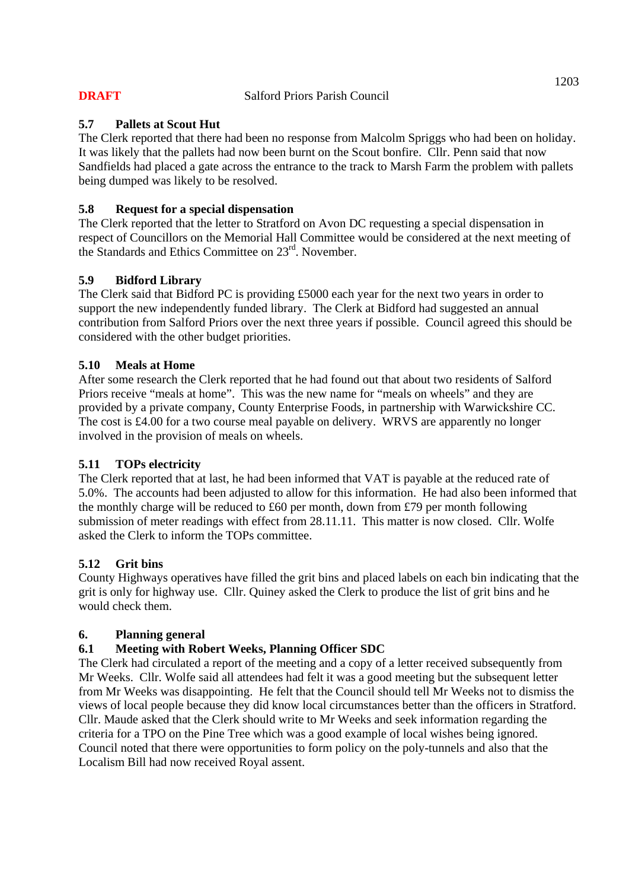## **5.7 Pallets at Scout Hut**

The Clerk reported that there had been no response from Malcolm Spriggs who had been on holiday. It was likely that the pallets had now been burnt on the Scout bonfire. Cllr. Penn said that now Sandfields had placed a gate across the entrance to the track to Marsh Farm the problem with pallets being dumped was likely to be resolved.

## **5.8 Request for a special dispensation**

The Clerk reported that the letter to Stratford on Avon DC requesting a special dispensation in respect of Councillors on the Memorial Hall Committee would be considered at the next meeting of the Standards and Ethics Committee on 23rd. November.

## **5.9 Bidford Library**

The Clerk said that Bidford PC is providing £5000 each year for the next two years in order to support the new independently funded library. The Clerk at Bidford had suggested an annual contribution from Salford Priors over the next three years if possible. Council agreed this should be considered with the other budget priorities.

## **5.10 Meals at Home**

After some research the Clerk reported that he had found out that about two residents of Salford Priors receive "meals at home". This was the new name for "meals on wheels" and they are provided by a private company, County Enterprise Foods, in partnership with Warwickshire CC. The cost is £4.00 for a two course meal payable on delivery. WRVS are apparently no longer involved in the provision of meals on wheels.

## **5.11 TOPs electricity**

The Clerk reported that at last, he had been informed that VAT is payable at the reduced rate of 5.0%. The accounts had been adjusted to allow for this information. He had also been informed that the monthly charge will be reduced to £60 per month, down from £79 per month following submission of meter readings with effect from 28.11.11. This matter is now closed. Cllr. Wolfe asked the Clerk to inform the TOPs committee.

## **5.12 Grit bins**

County Highways operatives have filled the grit bins and placed labels on each bin indicating that the grit is only for highway use. Cllr. Quiney asked the Clerk to produce the list of grit bins and he would check them.

## **6. Planning general**

## **6.1 Meeting with Robert Weeks, Planning Officer SDC**

The Clerk had circulated a report of the meeting and a copy of a letter received subsequently from Mr Weeks. Cllr. Wolfe said all attendees had felt it was a good meeting but the subsequent letter from Mr Weeks was disappointing. He felt that the Council should tell Mr Weeks not to dismiss the views of local people because they did know local circumstances better than the officers in Stratford. Cllr. Maude asked that the Clerk should write to Mr Weeks and seek information regarding the criteria for a TPO on the Pine Tree which was a good example of local wishes being ignored. Council noted that there were opportunities to form policy on the poly-tunnels and also that the Localism Bill had now received Royal assent.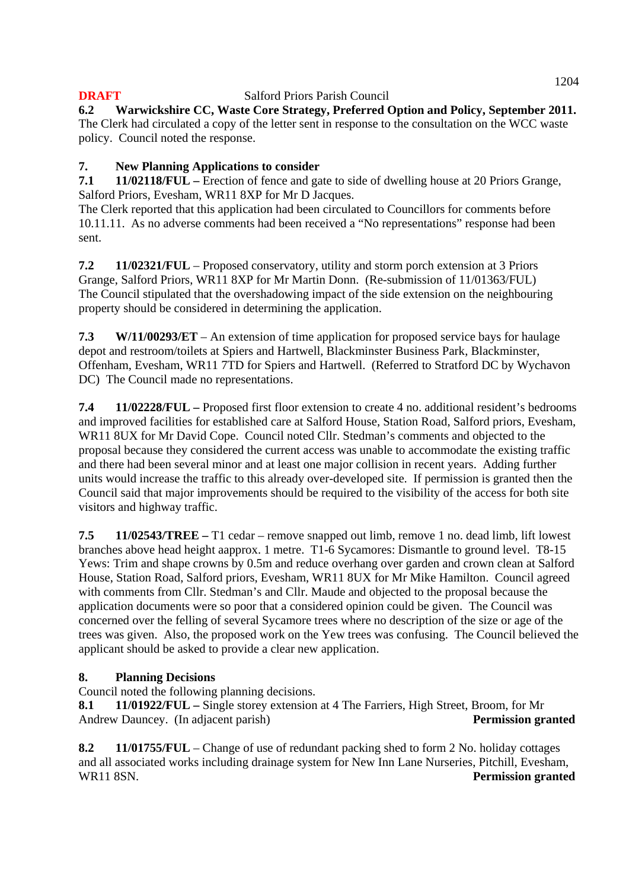**6.2 Warwickshire CC, Waste Core Strategy, Preferred Option and Policy, September 2011.**  The Clerk had circulated a copy of the letter sent in response to the consultation on the WCC waste policy. Council noted the response.

# **7. New Planning Applications to consider**

**7.1 11/02118/FUL –** Erection of fence and gate to side of dwelling house at 20 Priors Grange, Salford Priors, Evesham, WR11 8XP for Mr D Jacques.

The Clerk reported that this application had been circulated to Councillors for comments before 10.11.11. As no adverse comments had been received a "No representations" response had been sent.

**7.2 11/02321/FUL** – Proposed conservatory, utility and storm porch extension at 3 Priors Grange, Salford Priors, WR11 8XP for Mr Martin Donn. (Re-submission of 11/01363/FUL) The Council stipulated that the overshadowing impact of the side extension on the neighbouring property should be considered in determining the application.

**7.3 W/11/00293/ET** – An extension of time application for proposed service bays for haulage depot and restroom/toilets at Spiers and Hartwell, Blackminster Business Park, Blackminster, Offenham, Evesham, WR11 7TD for Spiers and Hartwell. (Referred to Stratford DC by Wychavon DC) The Council made no representations.

**7.4 11/02228/FUL –** Proposed first floor extension to create 4 no. additional resident's bedrooms and improved facilities for established care at Salford House, Station Road, Salford priors, Evesham, WR11 8UX for Mr David Cope. Council noted Cllr. Stedman's comments and objected to the proposal because they considered the current access was unable to accommodate the existing traffic and there had been several minor and at least one major collision in recent years. Adding further units would increase the traffic to this already over-developed site. If permission is granted then the Council said that major improvements should be required to the visibility of the access for both site visitors and highway traffic.

**7.5 11/02543/TREE –** T1 cedar – remove snapped out limb, remove 1 no. dead limb, lift lowest branches above head height aapprox. 1 metre. T1-6 Sycamores: Dismantle to ground level. T8-15 Yews: Trim and shape crowns by 0.5m and reduce overhang over garden and crown clean at Salford House, Station Road, Salford priors, Evesham, WR11 8UX for Mr Mike Hamilton. Council agreed with comments from Cllr. Stedman's and Cllr. Maude and objected to the proposal because the application documents were so poor that a considered opinion could be given. The Council was concerned over the felling of several Sycamore trees where no description of the size or age of the trees was given. Also, the proposed work on the Yew trees was confusing. The Council believed the applicant should be asked to provide a clear new application.

# **8. Planning Decisions**

Council noted the following planning decisions.

**8.1 11/01922/FUL –** Single storey extension at 4 The Farriers, High Street, Broom, for Mr Andrew Dauncey. (In adjacent parish) **Permission granted** 

**8.2 11/01755/FUL** – Change of use of redundant packing shed to form 2 No. holiday cottages and all associated works including drainage system for New Inn Lane Nurseries, Pitchill, Evesham, WR11 8SN. **Permission granted**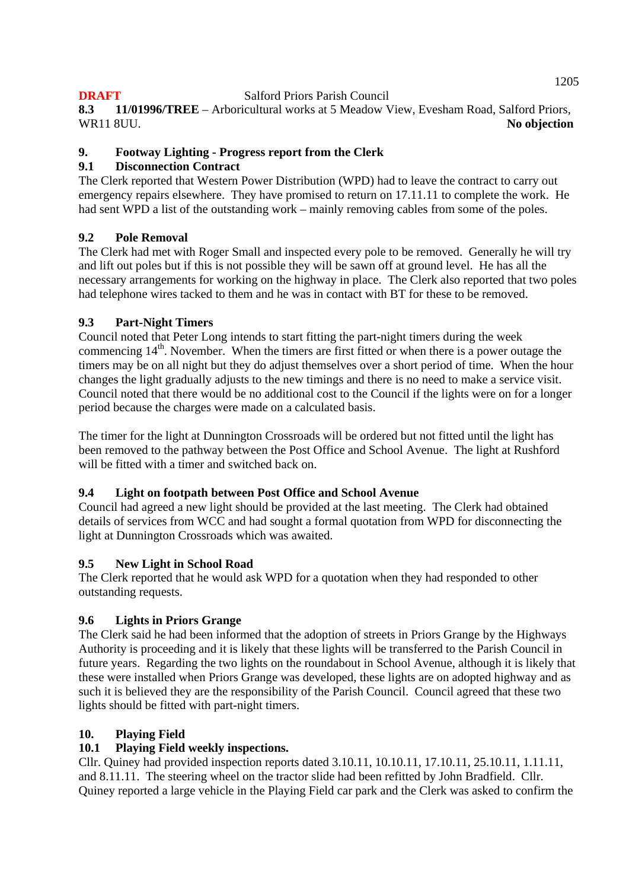**8.3 11/01996/TREE** – Arboricultural works at 5 Meadow View, Evesham Road, Salford Priors, WR11 8UU. **No objection No objection** 

## **9. Footway Lighting - Progress report from the Clerk**

## **9.1 Disconnection Contract**

The Clerk reported that Western Power Distribution (WPD) had to leave the contract to carry out emergency repairs elsewhere. They have promised to return on 17.11.11 to complete the work. He had sent WPD a list of the outstanding work – mainly removing cables from some of the poles.

## **9.2 Pole Removal**

The Clerk had met with Roger Small and inspected every pole to be removed. Generally he will try and lift out poles but if this is not possible they will be sawn off at ground level. He has all the necessary arrangements for working on the highway in place. The Clerk also reported that two poles had telephone wires tacked to them and he was in contact with BT for these to be removed.

## **9.3 Part-Night Timers**

Council noted that Peter Long intends to start fitting the part-night timers during the week commencing  $14<sup>th</sup>$ . November. When the timers are first fitted or when there is a power outage the timers may be on all night but they do adjust themselves over a short period of time. When the hour changes the light gradually adjusts to the new timings and there is no need to make a service visit. Council noted that there would be no additional cost to the Council if the lights were on for a longer period because the charges were made on a calculated basis.

The timer for the light at Dunnington Crossroads will be ordered but not fitted until the light has been removed to the pathway between the Post Office and School Avenue. The light at Rushford will be fitted with a timer and switched back on.

## **9.4 Light on footpath between Post Office and School Avenue**

Council had agreed a new light should be provided at the last meeting. The Clerk had obtained details of services from WCC and had sought a formal quotation from WPD for disconnecting the light at Dunnington Crossroads which was awaited.

## **9.5 New Light in School Road**

The Clerk reported that he would ask WPD for a quotation when they had responded to other outstanding requests.

## **9.6 Lights in Priors Grange**

The Clerk said he had been informed that the adoption of streets in Priors Grange by the Highways Authority is proceeding and it is likely that these lights will be transferred to the Parish Council in future years. Regarding the two lights on the roundabout in School Avenue, although it is likely that these were installed when Priors Grange was developed, these lights are on adopted highway and as such it is believed they are the responsibility of the Parish Council. Council agreed that these two lights should be fitted with part-night timers.

## **10. Playing Field**

## **10.1 Playing Field weekly inspections.**

Cllr. Quiney had provided inspection reports dated 3.10.11, 10.10.11, 17.10.11, 25.10.11, 1.11.11, and 8.11.11. The steering wheel on the tractor slide had been refitted by John Bradfield. Cllr. Quiney reported a large vehicle in the Playing Field car park and the Clerk was asked to confirm the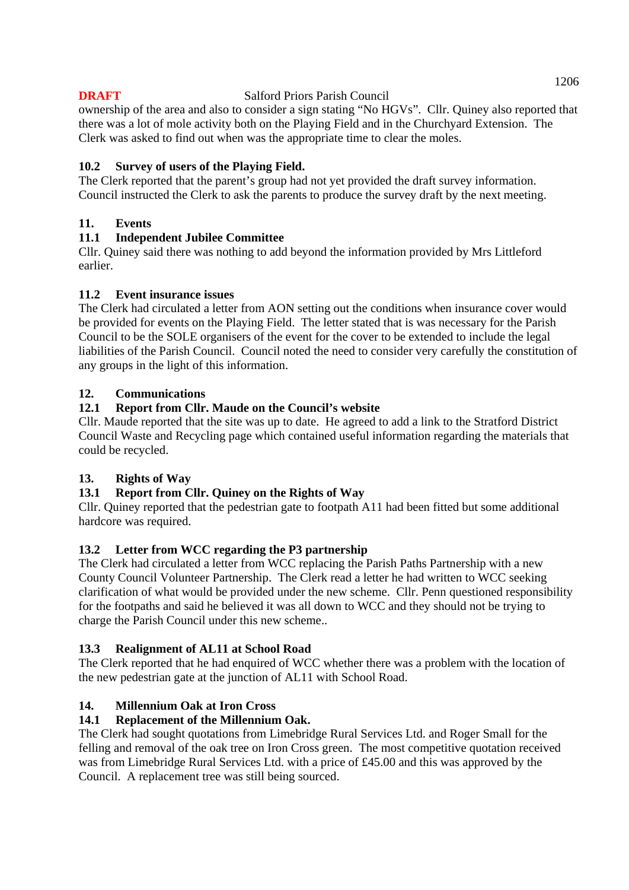ownership of the area and also to consider a sign stating "No HGVs". Cllr. Quiney also reported that there was a lot of mole activity both on the Playing Field and in the Churchyard Extension. The Clerk was asked to find out when was the appropriate time to clear the moles.

## **10.2 Survey of users of the Playing Field.**

The Clerk reported that the parent's group had not yet provided the draft survey information. Council instructed the Clerk to ask the parents to produce the survey draft by the next meeting.

## **11. Events**

## **11.1 Independent Jubilee Committee**

Cllr. Quiney said there was nothing to add beyond the information provided by Mrs Littleford earlier.

## **11.2 Event insurance issues**

The Clerk had circulated a letter from AON setting out the conditions when insurance cover would be provided for events on the Playing Field. The letter stated that is was necessary for the Parish Council to be the SOLE organisers of the event for the cover to be extended to include the legal liabilities of the Parish Council. Council noted the need to consider very carefully the constitution of any groups in the light of this information.

## **12. Communications**

## **12.1 Report from Cllr. Maude on the Council's website**

Cllr. Maude reported that the site was up to date. He agreed to add a link to the Stratford District Council Waste and Recycling page which contained useful information regarding the materials that could be recycled.

## **13. Rights of Way**

## **13.1 Report from Cllr. Quiney on the Rights of Way**

Cllr. Quiney reported that the pedestrian gate to footpath A11 had been fitted but some additional hardcore was required.

## **13.2 Letter from WCC regarding the P3 partnership**

The Clerk had circulated a letter from WCC replacing the Parish Paths Partnership with a new County Council Volunteer Partnership. The Clerk read a letter he had written to WCC seeking clarification of what would be provided under the new scheme. Cllr. Penn questioned responsibility for the footpaths and said he believed it was all down to WCC and they should not be trying to charge the Parish Council under this new scheme..

## **13.3 Realignment of AL11 at School Road**

The Clerk reported that he had enquired of WCC whether there was a problem with the location of the new pedestrian gate at the junction of AL11 with School Road.

## **14. Millennium Oak at Iron Cross**

## **14.1 Replacement of the Millennium Oak.**

The Clerk had sought quotations from Limebridge Rural Services Ltd. and Roger Small for the felling and removal of the oak tree on Iron Cross green. The most competitive quotation received was from Limebridge Rural Services Ltd. with a price of £45.00 and this was approved by the Council. A replacement tree was still being sourced.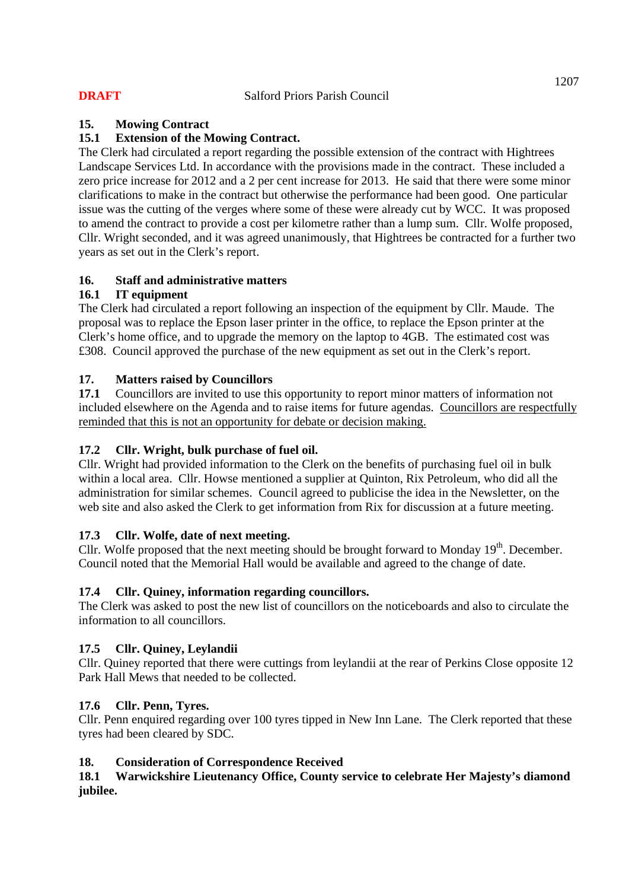## **15. Mowing Contract**

## **15.1 Extension of the Mowing Contract.**

The Clerk had circulated a report regarding the possible extension of the contract with Hightrees Landscape Services Ltd. In accordance with the provisions made in the contract. These included a zero price increase for 2012 and a 2 per cent increase for 2013. He said that there were some minor clarifications to make in the contract but otherwise the performance had been good. One particular issue was the cutting of the verges where some of these were already cut by WCC. It was proposed to amend the contract to provide a cost per kilometre rather than a lump sum. Cllr. Wolfe proposed, Cllr. Wright seconded, and it was agreed unanimously, that Hightrees be contracted for a further two years as set out in the Clerk's report.

## **16. Staff and administrative matters**

## **16.1 IT equipment**

The Clerk had circulated a report following an inspection of the equipment by Cllr. Maude. The proposal was to replace the Epson laser printer in the office, to replace the Epson printer at the Clerk's home office, and to upgrade the memory on the laptop to 4GB. The estimated cost was £308. Council approved the purchase of the new equipment as set out in the Clerk's report.

## **17. Matters raised by Councillors**

**17.1** Councillors are invited to use this opportunity to report minor matters of information not included elsewhere on the Agenda and to raise items for future agendas. Councillors are respectfully reminded that this is not an opportunity for debate or decision making.

## **17.2 Cllr. Wright, bulk purchase of fuel oil.**

Cllr. Wright had provided information to the Clerk on the benefits of purchasing fuel oil in bulk within a local area. Cllr. Howse mentioned a supplier at Quinton, Rix Petroleum, who did all the administration for similar schemes. Council agreed to publicise the idea in the Newsletter, on the web site and also asked the Clerk to get information from Rix for discussion at a future meeting.

## **17.3 Cllr. Wolfe, date of next meeting.**

Cllr. Wolfe proposed that the next meeting should be brought forward to Monday  $19<sup>th</sup>$ . December. Council noted that the Memorial Hall would be available and agreed to the change of date.

## **17.4 Cllr. Quiney, information regarding councillors.**

The Clerk was asked to post the new list of councillors on the noticeboards and also to circulate the information to all councillors.

## **17.5 Cllr. Quiney, Leylandii**

Cllr. Quiney reported that there were cuttings from leylandii at the rear of Perkins Close opposite 12 Park Hall Mews that needed to be collected.

## **17.6 Cllr. Penn, Tyres.**

Cllr. Penn enquired regarding over 100 tyres tipped in New Inn Lane. The Clerk reported that these tyres had been cleared by SDC.

## **18. Consideration of Correspondence Received**

## **18.1 Warwickshire Lieutenancy Office, County service to celebrate Her Majesty's diamond jubilee.**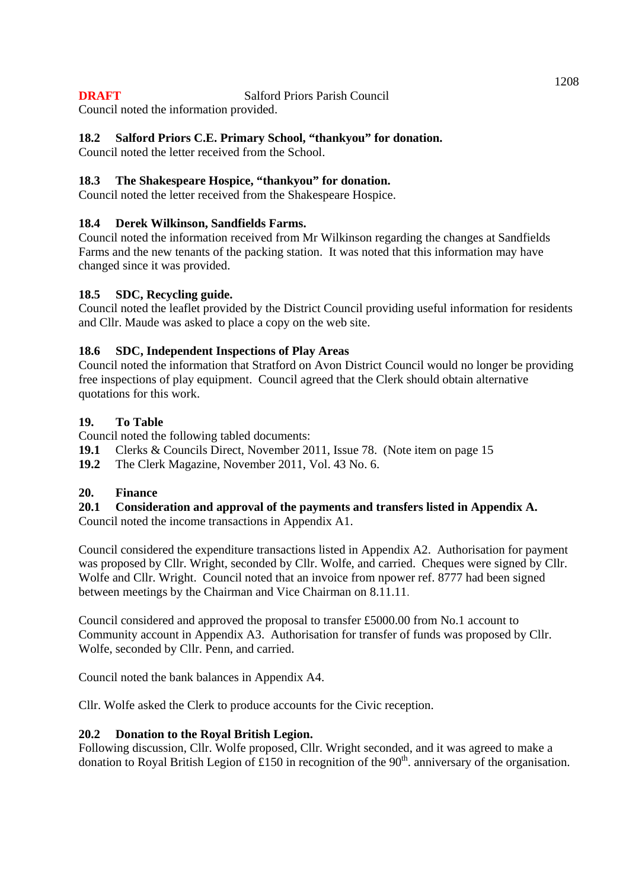Council noted the information provided.

## **18.2 Salford Priors C.E. Primary School, "thankyou" for donation.**

Council noted the letter received from the School.

## **18.3 The Shakespeare Hospice, "thankyou" for donation.**

Council noted the letter received from the Shakespeare Hospice.

## **18.4 Derek Wilkinson, Sandfields Farms.**

Council noted the information received from Mr Wilkinson regarding the changes at Sandfields Farms and the new tenants of the packing station. It was noted that this information may have changed since it was provided.

## **18.5 SDC, Recycling guide.**

Council noted the leaflet provided by the District Council providing useful information for residents and Cllr. Maude was asked to place a copy on the web site.

## **18.6 SDC, Independent Inspections of Play Areas**

Council noted the information that Stratford on Avon District Council would no longer be providing free inspections of play equipment. Council agreed that the Clerk should obtain alternative quotations for this work.

## **19. To Table**

Council noted the following tabled documents:

- **19.1** Clerks & Councils Direct, November 2011, Issue 78. (Note item on page 15
- **19.2** The Clerk Magazine, November 2011, Vol. 43 No. 6.

## **20. Finance**

## **20.1 Consideration and approval of the payments and transfers listed in Appendix A.**

Council noted the income transactions in Appendix A1.

Council considered the expenditure transactions listed in Appendix A2. Authorisation for payment was proposed by Cllr. Wright, seconded by Cllr. Wolfe, and carried. Cheques were signed by Cllr. Wolfe and Cllr. Wright. Council noted that an invoice from npower ref. 8777 had been signed between meetings by the Chairman and Vice Chairman on 8.11.11.

Council considered and approved the proposal to transfer £5000.00 from No.1 account to Community account in Appendix A3. Authorisation for transfer of funds was proposed by Cllr. Wolfe, seconded by Cllr. Penn, and carried.

Council noted the bank balances in Appendix A4.

Cllr. Wolfe asked the Clerk to produce accounts for the Civic reception.

## **20.2 Donation to the Royal British Legion.**

Following discussion, Cllr. Wolfe proposed, Cllr. Wright seconded, and it was agreed to make a donation to Royal British Legion of £150 in recognition of the 90<sup>th</sup>, anniversary of the organisation.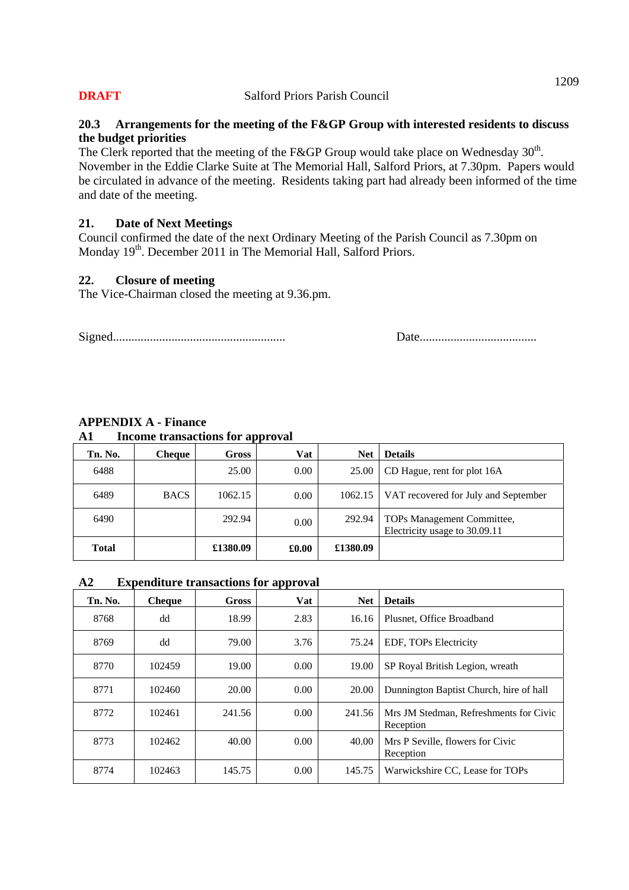#### **20.3 Arrangements for the meeting of the F&GP Group with interested residents to discuss the budget priorities**

The Clerk reported that the meeting of the F&GP Group would take place on Wednesday  $30<sup>th</sup>$ . November in the Eddie Clarke Suite at The Memorial Hall, Salford Priors, at 7.30pm. Papers would be circulated in advance of the meeting. Residents taking part had already been informed of the time and date of the meeting.

#### **21. Date of Next Meetings**

Council confirmed the date of the next Ordinary Meeting of the Parish Council as 7.30pm on Monday 19<sup>th</sup>. December 2011 in The Memorial Hall, Salford Priors.

#### **22. Closure of meeting**

The Vice-Chairman closed the meeting at 9.36.pm.

Signed........................................................ Date......................................

| Tn. No.      | <b>Cheque</b> | <b>Gross</b> | Vat   | <b>Net</b> | <b>Details</b>                                              |
|--------------|---------------|--------------|-------|------------|-------------------------------------------------------------|
| 6488         |               | 25.00        | 0.00  | 25.00      | CD Hague, rent for plot 16A                                 |
| 6489         | <b>BACS</b>   | 1062.15      | 0.00  | 1062.15    | VAT recovered for July and September                        |
| 6490         |               | 292.94       | 0.00  | 292.94     | TOPs Management Committee,<br>Electricity usage to 30.09.11 |
| <b>Total</b> |               | £1380.09     | £0.00 | £1380.09   |                                                             |

# **APPENDIX A - Finance**

## **A1 Income transactions for approval**

## **A2 Expenditure transactions for approval**

| Tn. No. | <b>Cheque</b> | <b>Gross</b> | <b>Vat</b> | <b>Net</b> | <b>Details</b>                                      |
|---------|---------------|--------------|------------|------------|-----------------------------------------------------|
| 8768    | dd            | 18.99        | 2.83       | 16.16      | Plusnet, Office Broadband                           |
| 8769    | dd            | 79.00        | 3.76       | 75.24      | EDF, TOPs Electricity                               |
| 8770    | 102459        | 19.00        | 0.00       | 19.00      | SP Royal British Legion, wreath                     |
| 8771    | 102460        | 20.00        | 0.00       | 20.00      | Dunnington Baptist Church, hire of hall             |
| 8772    | 102461        | 241.56       | 0.00       | 241.56     | Mrs JM Stedman, Refreshments for Civic<br>Reception |
| 8773    | 102462        | 40.00        | 0.00       | 40.00      | Mrs P Seville, flowers for Civic<br>Reception       |
| 8774    | 102463        | 145.75       | 0.00       | 145.75     | Warwickshire CC, Lease for TOPs                     |